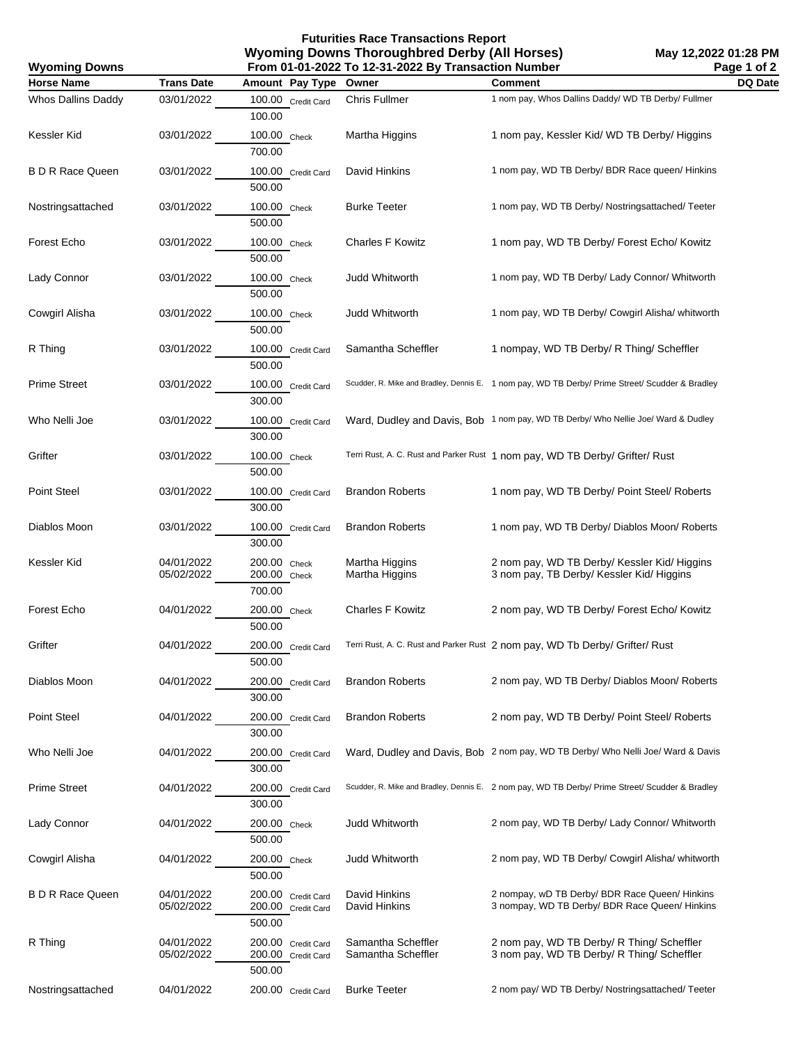**Futurities Race Transactions Report Wyoming Downs Thoroughbred Derby (All Horses) From 01-01-2022 To 12-31-2022 By Transaction Number**

| <b>Wyoming Downs</b>    |                          |                                                    | From 01-01-2022 To 12-31-2022 By Transaction Number |                                                                                                  | Page 1 of 2 |
|-------------------------|--------------------------|----------------------------------------------------|-----------------------------------------------------|--------------------------------------------------------------------------------------------------|-------------|
| <b>Horse Name</b>       | <b>Trans Date</b>        | Amount Pay Type                                    | Owner                                               | <b>Comment</b>                                                                                   | DQ Date     |
| Whos Dallins Daddy      | 03/01/2022               | 100.00 Credit Card<br>100.00                       | Chris Fullmer                                       | 1 nom pay, Whos Dallins Daddy/ WD TB Derby/ Fullmer                                              |             |
| Kessler Kid             | 03/01/2022               | 100.00 Check<br>700.00                             | Martha Higgins                                      | 1 nom pay, Kessler Kid/WD TB Derby/Higgins                                                       |             |
| <b>B D R Race Queen</b> | 03/01/2022               | 100.00 Credit Card<br>500.00                       | David Hinkins                                       | 1 nom pay, WD TB Derby/ BDR Race queen/ Hinkins                                                  |             |
| Nostringsattached       | 03/01/2022               | 100.00 Check<br>500.00                             | <b>Burke Teeter</b>                                 | 1 nom pay, WD TB Derby/ Nostringsattached/ Teeter                                                |             |
| Forest Echo             | 03/01/2022               | 100.00 Check<br>500.00                             | <b>Charles F Kowitz</b>                             | 1 nom pay, WD TB Derby/ Forest Echo/ Kowitz                                                      |             |
| Lady Connor             | 03/01/2022               | 100.00 Check<br>500.00                             | Judd Whitworth                                      | 1 nom pay, WD TB Derby/ Lady Connor/ Whitworth                                                   |             |
| Cowgirl Alisha          | 03/01/2022               | 100.00 Check<br>500.00                             | Judd Whitworth                                      | 1 nom pay, WD TB Derby/ Cowgirl Alisha/ whitworth                                                |             |
| R Thing                 | 03/01/2022               | 100.00 Credit Card<br>500.00                       | Samantha Scheffler                                  | 1 nompay, WD TB Derby/ R Thing/ Scheffler                                                        |             |
| <b>Prime Street</b>     | 03/01/2022               | 100.00 Credit Card<br>300.00                       |                                                     | Scudder, R. Mike and Bradley, Dennis E. 1 nom pay, WD TB Derby/ Prime Street/ Scudder & Bradley  |             |
| Who Nelli Joe           | 03/01/2022               | 100.00 Credit Card<br>300.00                       |                                                     | Ward, Dudley and Davis, Bob 1 nom pay, WD TB Derby/ Who Nellie Joe/ Ward & Dudley                |             |
| Grifter                 | 03/01/2022               | 100.00 Check<br>500.00                             |                                                     | Terri Rust, A. C. Rust and Parker Rust 1 nom pay, WD TB Derby/ Grifter/ Rust                     |             |
| Point Steel             | 03/01/2022               | 100.00 Credit Card<br>300.00                       | <b>Brandon Roberts</b>                              | 1 nom pay, WD TB Derby/ Point Steel/ Roberts                                                     |             |
| Diablos Moon            | 03/01/2022               | 100.00 Credit Card<br>300.00                       | <b>Brandon Roberts</b>                              | 1 nom pay, WD TB Derby/ Diablos Moon/ Roberts                                                    |             |
| Kessler Kid             | 04/01/2022<br>05/02/2022 | 200.00 Check<br>200.00 Check<br>700.00             | Martha Higgins<br>Martha Higgins                    | 2 nom pay, WD TB Derby/ Kessler Kid/ Higgins<br>3 nom pay, TB Derby/ Kessler Kid/ Higgins        |             |
| Forest Echo             | 04/01/2022               | 200.00 Check<br>500.00                             | <b>Charles F Kowitz</b>                             | 2 nom pay, WD TB Derby/ Forest Echo/ Kowitz                                                      |             |
| Grifter                 | 04/01/2022               | 200.00 Credit Card<br>500.00                       |                                                     | Terri Rust, A. C. Rust and Parker Rust 2 nom pay, WD Tb Derby/ Grifter/ Rust                     |             |
| Diablos Moon            | 04/01/2022               | 200.00 Credit Card<br>300.00                       | <b>Brandon Roberts</b>                              | 2 nom pay, WD TB Derby/ Diablos Moon/ Roberts                                                    |             |
| Point Steel             | 04/01/2022               | 200.00 Credit Card<br>300.00                       | <b>Brandon Roberts</b>                              | 2 nom pay, WD TB Derby/ Point Steel/ Roberts                                                     |             |
| Who Nelli Joe           | 04/01/2022               | 200.00 Credit Card<br>300.00                       |                                                     | Ward, Dudley and Davis, Bob 2 nom pay, WD TB Derby/ Who Nelli Joe/ Ward & Davis                  |             |
| <b>Prime Street</b>     | 04/01/2022               | 200.00 Credit Card<br>300.00                       |                                                     | Scudder, R. Mike and Bradley, Dennis E. 2 nom pay, WD TB Derby/ Prime Street/ Scudder & Bradley  |             |
| Lady Connor             | 04/01/2022               | 200.00 Check<br>500.00                             | <b>Judd Whitworth</b>                               | 2 nom pay, WD TB Derby/ Lady Connor/ Whitworth                                                   |             |
| Cowgirl Alisha          | 04/01/2022               | 200.00 Check<br>500.00                             | Judd Whitworth                                      | 2 nom pay, WD TB Derby/ Cowgirl Alisha/ whitworth                                                |             |
| <b>B D R Race Queen</b> | 04/01/2022<br>05/02/2022 | 200.00 Credit Card<br>200.00 Credit Card<br>500.00 | David Hinkins<br>David Hinkins                      | 2 nompay, wD TB Derby/ BDR Race Queen/ Hinkins<br>3 nompay, WD TB Derby/ BDR Race Queen/ Hinkins |             |
| R Thing                 | 04/01/2022<br>05/02/2022 | 200.00 Credit Card<br>200.00 Credit Card<br>500.00 | Samantha Scheffler<br>Samantha Scheffler            | 2 nom pay, WD TB Derby/ R Thing/ Scheffler<br>3 nom pay, WD TB Derby/ R Thing/ Scheffler         |             |
| Nostringsattached       | 04/01/2022               | 200.00 Credit Card                                 | <b>Burke Teeter</b>                                 | 2 nom pay/ WD TB Derby/ Nostringsattached/ Teeter                                                |             |